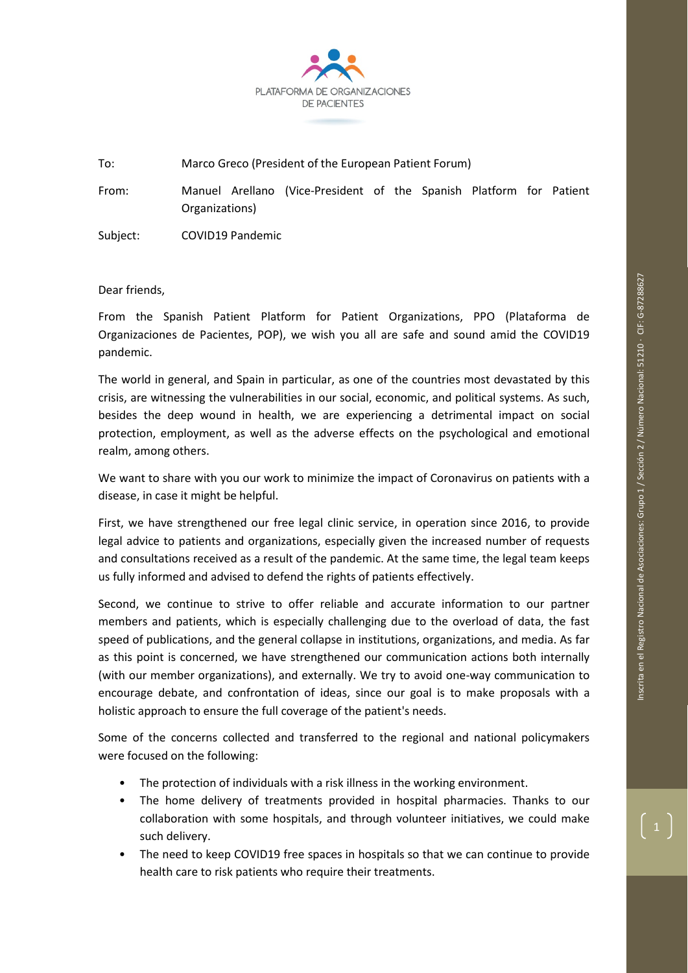

To: Marco Greco (President of the European Patient Forum)

From: Manuel Arellano (Vice-President of the Spanish Platform for Patient Organizations)

Subject: COVID19 Pandemic

Dear friends,

From the Spanish Patient Platform for Patient Organizations, PPO (Plataforma de Organizaciones de Pacientes, POP), we wish you all are safe and sound amid the COVID19 pandemic.

The world in general, and Spain in particular, as one of the countries most devastated by this crisis, are witnessing the vulnerabilities in our social, economic, and political systems. As such, besides the deep wound in health, we are experiencing a detrimental impact on social protection, employment, as well as the adverse effects on the psychological and emotional realm, among others.

We want to share with you our work to minimize the impact of Coronavirus on patients with a disease, in case it might be helpful.

First, we have strengthened our free legal clinic service, in operation since 2016, to provide legal advice to patients and organizations, especially given the increased number of requests and consultations received as a result of the pandemic. At the same time, the legal team keeps us fully informed and advised to defend the rights of patients effectively.

Second, we continue to strive to offer reliable and accurate information to our partner members and patients, which is especially challenging due to the overload of data, the fast speed of publications, and the general collapse in institutions, organizations, and media. As far as this point is concerned, we have strengthened our communication actions both internally (with our member organizations), and externally. We try to avoid one-way communication to encourage debate, and confrontation of ideas, since our goal is to make proposals with a holistic approach to ensure the full coverage of the patient's needs.

Some of the concerns collected and transferred to the regional and national policymakers were focused on the following:

- The protection of individuals with a risk illness in the working environment.
- The home delivery of treatments provided in hospital pharmacies. Thanks to our collaboration with some hospitals, and through volunteer initiatives, we could make such delivery.
- The need to keep COVID19 free spaces in hospitals so that we can continue to provide health care to risk patients who require their treatments.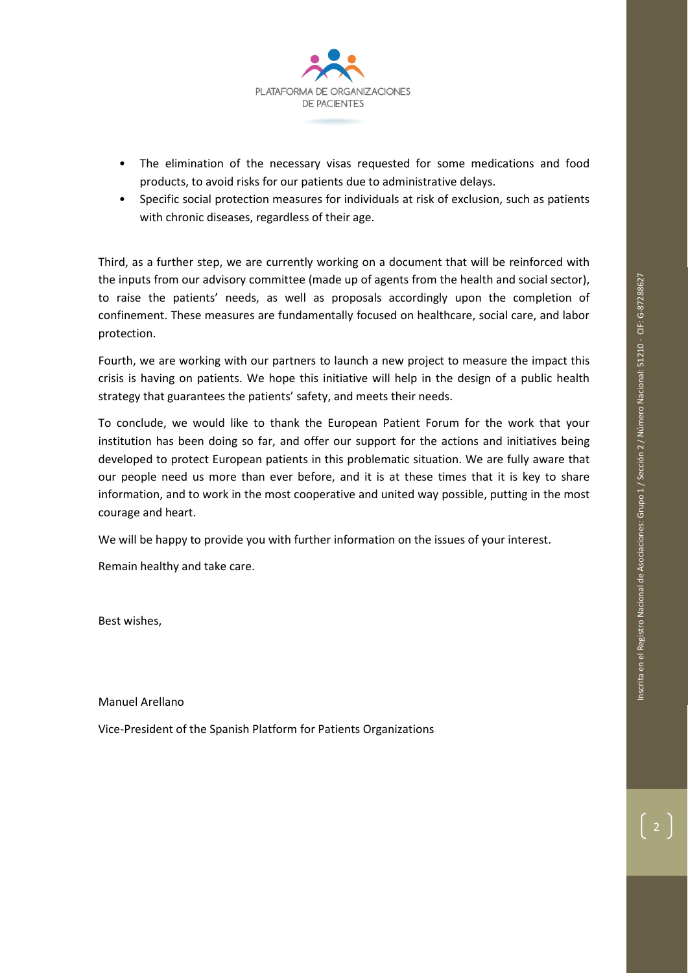

- The elimination of the necessary visas requested for some medications and food products, to avoid risks for our patients due to administrative delays.
- Specific social protection measures for individuals at risk of exclusion, such as patients with chronic diseases, regardless of their age.

Third, as a further step, we are currently working on a document that will be reinforced with the inputs from our advisory committee (made up of agents from the health and social sector), to raise the patients' needs, as well as proposals accordingly upon the completion of confinement. These measures are fundamentally focused on healthcare, social care, and labor protection.

Fourth, we are working with our partners to launch a new project to measure the impact this crisis is having on patients. We hope this initiative will help in the design of a public health strategy that guarantees the patients' safety, and meets their needs.

To conclude, we would like to thank the European Patient Forum for the work that your institution has been doing so far, and offer our support for the actions and initiatives being developed to protect European patients in this problematic situation. We are fully aware that our people need us more than ever before, and it is at these times that it is key to share information, and to work in the most cooperative and united way possible, putting in the most courage and heart.

We will be happy to provide you with further information on the issues of your interest.

Remain healthy and take care.

Best wishes,

Manuel Arellano

Vice-President of the Spanish Platform for Patients Organizations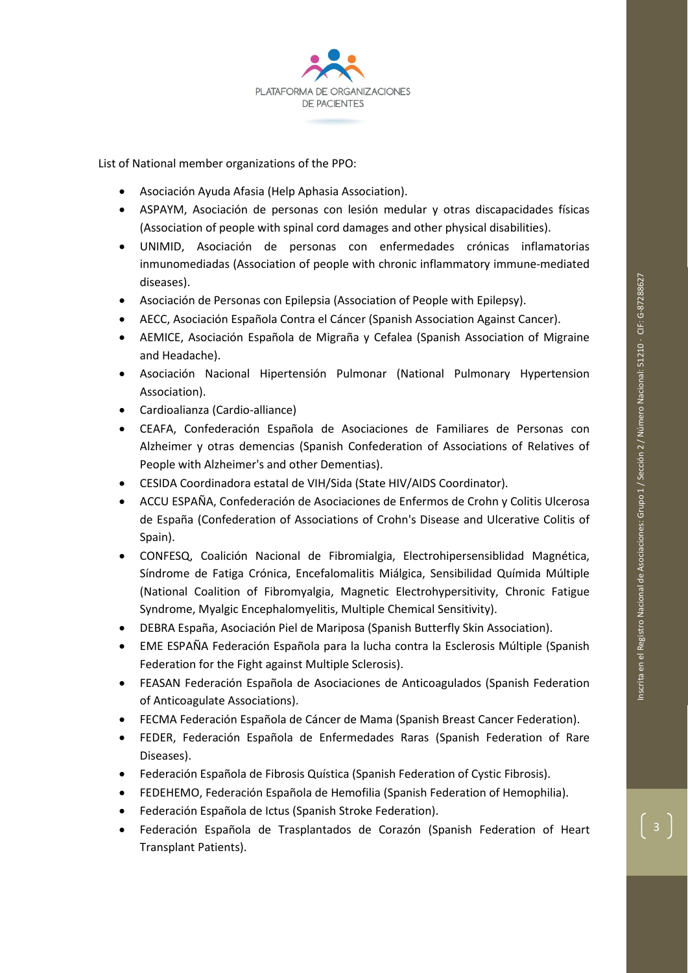

List of National member organizations of the PPO:

- Asociación Ayuda Afasia (Help Aphasia Association).
- ASPAYM, Asociación de personas con lesión medular y otras discapacidades físicas (Association of people with spinal cord damages and other physical disabilities).
- UNIMID, Asociación de personas con enfermedades crónicas inflamatorias inmunomediadas (Association of people with chronic inflammatory immune-mediated diseases).
- Asociación de Personas con Epilepsia (Association of People with Epilepsy).
- AECC, Asociación Española Contra el Cáncer (Spanish Association Against Cancer).
- AEMICE, Asociación Española de Migraña y Cefalea (Spanish Association of Migraine and Headache).
- Asociación Nacional Hipertensión Pulmonar (National Pulmonary Hypertension Association).
- Cardioalianza (Cardio-alliance)
- CEAFA, Confederación Española de Asociaciones de Familiares de Personas con Alzheimer y otras demencias (Spanish Confederation of Associations of Relatives of People with Alzheimer's and other Dementias).
- CESIDA Coordinadora estatal de VIH/Sida (State HIV/AIDS Coordinator).
- ACCU ESPAÑA, Confederación de Asociaciones de Enfermos de Crohn y Colitis Ulcerosa de España (Confederation of Associations of Crohn's Disease and Ulcerative Colitis of Spain).
- CONFESQ, Coalición Nacional de Fibromialgia, Electrohipersensiblidad Magnética, Síndrome de Fatiga Crónica, Encefalomalitis Miálgica, Sensibilidad Químida Múltiple (National Coalition of Fibromyalgia, Magnetic Electrohypersitivity, Chronic Fatigue Syndrome, Myalgic Encephalomyelitis, Multiple Chemical Sensitivity).
- DEBRA España, Asociación Piel de Mariposa (Spanish Butterfly Skin Association).
- EME ESPAÑA Federación Española para la lucha contra la Esclerosis Múltiple (Spanish Federation for the Fight against Multiple Sclerosis).
- FEASAN Federación Española de Asociaciones de Anticoagulados (Spanish Federation of Anticoagulate Associations).
- FECMA Federación Española de Cáncer de Mama (Spanish Breast Cancer Federation).
- FEDER, Federación Española de Enfermedades Raras (Spanish Federation of Rare Diseases).
- Federación Española de Fibrosis Quística (Spanish Federation of Cystic Fibrosis).
- FEDEHEMO, Federación Española de Hemofilia (Spanish Federation of Hemophilia).
- Federación Española de Ictus (Spanish Stroke Federation).
- Federación Española de Trasplantados de Corazón (Spanish Federation of Heart Transplant Patients).